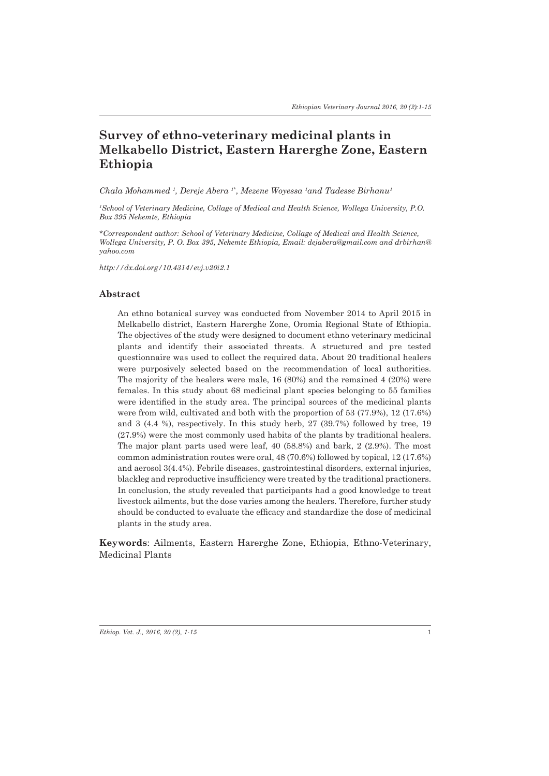# **Survey of ethno-veterinary medicinal plants in Melkabello District, Eastern Harerghe Zone, Eastern Ethiopia**

*Chala Mohammed 1 , Dereje Abera 1\*, Mezene Woyessa 1 and Tadesse Birhanu1*

*1 School of Veterinary Medicine, Collage of Medical and Health Science, Wollega University, P.O. Box 395 Nekemte, Ethiopia*

*\*Correspondent author: School of Veterinary Medicine, Collage of Medical and Health Science, Wollega University, P. O. Box 395, Nekemte Ethiopia, Email: dejabera@gmail.com and drbirhan@ yahoo.com*

*http://dx.doi.org/10.4314/evj.v20i2.1*

#### **Abstract**

An ethno botanical survey was conducted from November 2014 to April 2015 in Melkabello district, Eastern Harerghe Zone, Oromia Regional State of Ethiopia. The objectives of the study were designed to document ethno veterinary medicinal plants and identify their associated threats. A structured and pre tested questionnaire was used to collect the required data. About 20 traditional healers were purposively selected based on the recommendation of local authorities. The majority of the healers were male, 16 (80%) and the remained 4 (20%) were females. In this study about 68 medicinal plant species belonging to 55 families were identified in the study area. The principal sources of the medicinal plants were from wild, cultivated and both with the proportion of 53 (77.9%), 12 (17.6%) and 3 (4.4 %), respectively. In this study herb, 27 (39.7%) followed by tree, 19 (27.9%) were the most commonly used habits of the plants by traditional healers. The major plant parts used were leaf, 40 (58.8%) and bark, 2 (2.9%). The most common administration routes were oral, 48 (70.6%) followed by topical, 12 (17.6%) and aerosol 3(4.4%). Febrile diseases, gastrointestinal disorders, external injuries, blackleg and reproductive insufficiency were treated by the traditional practioners. In conclusion, the study revealed that participants had a good knowledge to treat livestock ailments, but the dose varies among the healers. Therefore, further study should be conducted to evaluate the efficacy and standardize the dose of medicinal plants in the study area.

**Keywords**: Ailments, Eastern Harerghe Zone, Ethiopia, Ethno-Veterinary, Medicinal Plants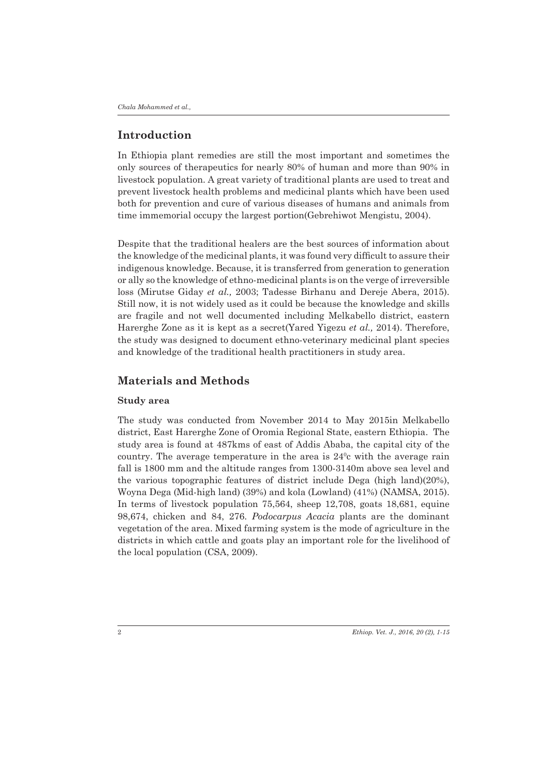## **Introduction**

In Ethiopia plant remedies are still the most important and sometimes the only sources of therapeutics for nearly 80% of human and more than 90% in livestock population. A great variety of traditional plants are used to treat and prevent livestock health problems and medicinal plants which have been used both for prevention and cure of various diseases of humans and animals from time immemorial occupy the largest portion(Gebrehiwot Mengistu, 2004).

Despite that the traditional healers are the best sources of information about the knowledge of the medicinal plants, it was found very difficult to assure their indigenous knowledge. Because, it is transferred from generation to generation or ally so the knowledge of ethno-medicinal plants is on the verge of irreversible loss (Mirutse Giday *et al.,* 2003; Tadesse Birhanu and Dereje Abera, 2015). Still now, it is not widely used as it could be because the knowledge and skills are fragile and not well documented including Melkabello district, eastern Harerghe Zone as it is kept as a secret(Yared Yigezu *et al.,* 2014). Therefore, the study was designed to document ethno-veterinary medicinal plant species and knowledge of the traditional health practitioners in study area.

## **Materials and Methods**

#### **Study area**

The study was conducted from November 2014 to May 2015in Melkabello district, East Harerghe Zone of Oromia Regional State, eastern Ethiopia. The study area is found at 487kms of east of Addis Ababa, the capital city of the country. The average temperature in the area is  $24^{\circ}$ c with the average rain fall is 1800 mm and the altitude ranges from 1300-3140m above sea level and the various topographic features of district include Dega (high land)(20%), Woyna Dega (Mid-high land) (39%) and kola (Lowland) (41%) (NAMSA, 2015). In terms of livestock population 75,564, sheep 12,708, goats 18,681, equine 98,674, chicken and 84, 276. *Podocarpus Acacia* plants are the dominant vegetation of the area. Mixed farming system is the mode of agriculture in the districts in which cattle and goats play an important role for the livelihood of the local population (CSA, 2009).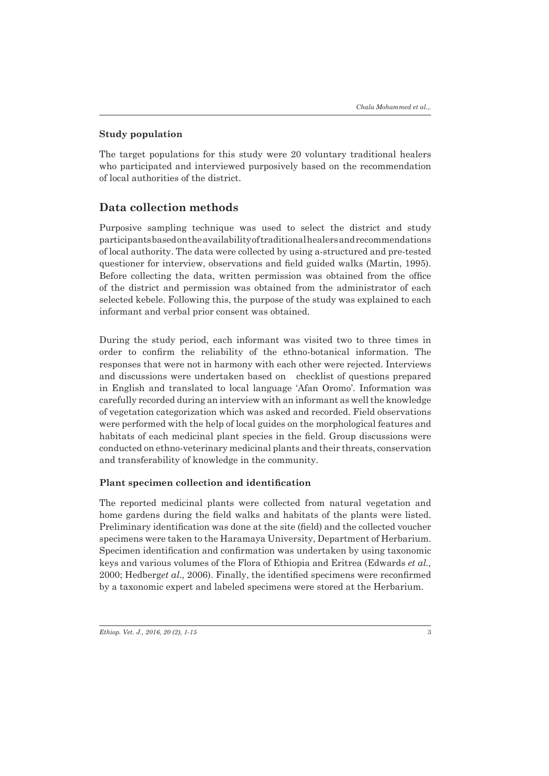### **Study population**

The target populations for this study were 20 voluntary traditional healers who participated and interviewed purposively based on the recommendation of local authorities of the district.

## **Data collection methods**

Purposive sampling technique was used to select the district and study participants based on the availability of traditional healers and recommendations of local authority. The data were collected by using a-structured and pre-tested questioner for interview, observations and field guided walks (Martin, 1995). Before collecting the data, written permission was obtained from the office of the district and permission was obtained from the administrator of each selected kebele. Following this, the purpose of the study was explained to each informant and verbal prior consent was obtained.

During the study period, each informant was visited two to three times in order to confirm the reliability of the ethno-botanical information. The responses that were not in harmony with each other were rejected. Interviews and discussions were undertaken based on checklist of questions prepared in English and translated to local language 'Afan Oromo'. Information was carefully recorded during an interview with an informant as well the knowledge of vegetation categorization which was asked and recorded. Field observations were performed with the help of local guides on the morphological features and habitats of each medicinal plant species in the field. Group discussions were conducted on ethno-veterinary medicinal plants and their threats, conservation and transferability of knowledge in the community.

## **Plant specimen collection and identification**

The reported medicinal plants were collected from natural vegetation and home gardens during the field walks and habitats of the plants were listed. Preliminary identification was done at the site (field) and the collected voucher specimens were taken to the Haramaya University, Department of Herbarium. Specimen identification and confirmation was undertaken by using taxonomic keys and various volumes of the Flora of Ethiopia and Eritrea (Edwards *et al.,* 2000; Hedberg*et al.,* 2006). Finally, the identified specimens were reconfirmed by a taxonomic expert and labeled specimens were stored at the Herbarium.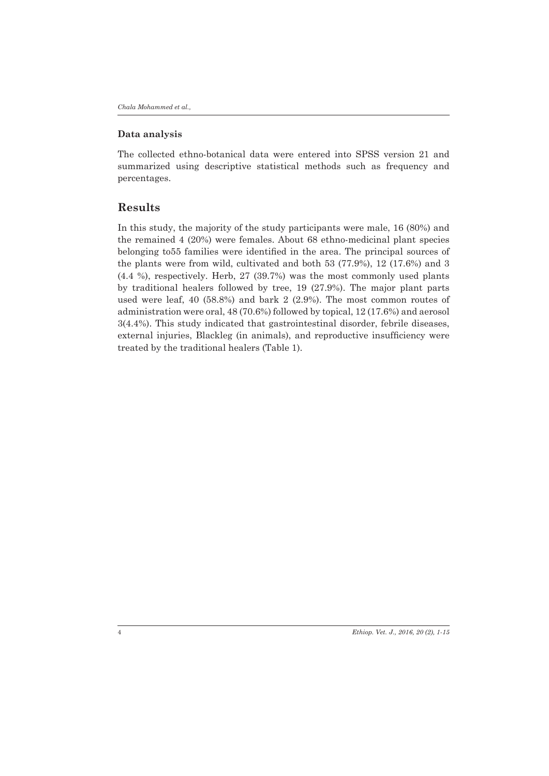#### **Data analysis**

The collected ethno-botanical data were entered into SPSS version 21 and summarized using descriptive statistical methods such as frequency and percentages.

## **Results**

In this study, the majority of the study participants were male, 16 (80%) and the remained 4 (20%) were females. About 68 ethno-medicinal plant species belonging to55 families were identified in the area. The principal sources of the plants were from wild, cultivated and both 53 (77.9%), 12 (17.6%) and 3 (4.4 %), respectively. Herb, 27 (39.7%) was the most commonly used plants by traditional healers followed by tree, 19 (27.9%). The major plant parts used were leaf, 40 (58.8%) and bark 2 (2.9%). The most common routes of administration were oral, 48 (70.6%) followed by topical, 12 (17.6%) and aerosol 3(4.4%). This study indicated that gastrointestinal disorder, febrile diseases, external injuries, Blackleg (in animals), and reproductive insufficiency were treated by the traditional healers (Table 1).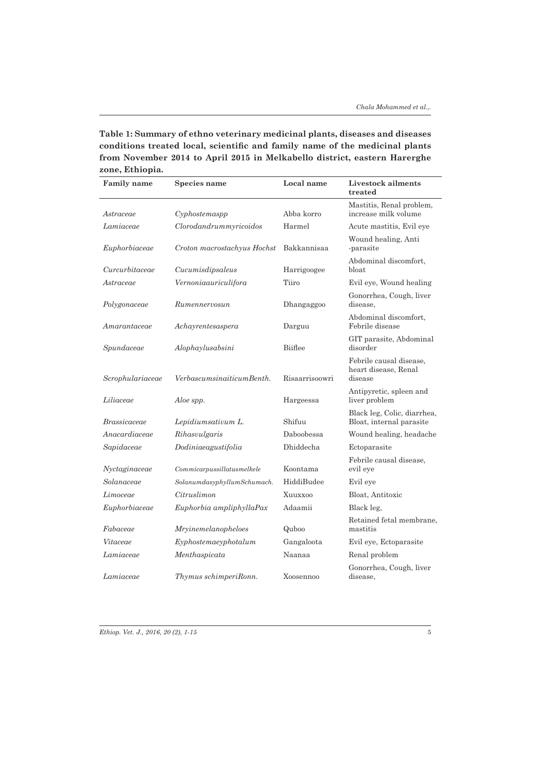**Table 1: Summary of ethno veterinary medicinal plants, diseases and diseases conditions treated local, scientific and family name of the medicinal plants from November 2014 to April 2015 in Melkabello district, eastern Harerghe zone, Ethiopia.**

| <b>Family name</b> | Species name                             | Local name     | Livestock ailments<br>treated                              |
|--------------------|------------------------------------------|----------------|------------------------------------------------------------|
| Astraceae          | Cyphostemasp                             | Abba korro     | Mastitis, Renal problem,<br>increase milk volume           |
| Lamiaceae          | Clorodandrummyricoidos                   | Harmel         | Acute mastitis, Evil eye                                   |
| Euphorbiaceae      | Croton macrostachyus Hochst              | Bakkannisaa    | Wound healing, Anti<br>-parasite                           |
| Curcurbitaceae     | Cucumisdipsaleus                         | Harrigoogee    | Abdominal discomfort,<br>bloat                             |
| Astraceae          | Vernoniaauriculifora                     | Tiiro          | Evil eye, Wound healing                                    |
| Polygonaceae       | Rumennervosun                            | Dhangaggoo     | Gonorrhea, Cough, liver<br>disease,                        |
| Amarantaceae       | Achayrentesaspera                        | Darguu         | Abdominal discomfort,<br>Febrile disease                   |
| Spundaceae         | Alophaylusabsini                         | Biiflee        | GIT parasite, Abdominal<br>disorder                        |
| Scrophulariaceae   | VerbascumsinaiticumBenth.                | Risaarrisoowri | Febrile causal disease.<br>heart disease, Renal<br>disease |
| Liliaceae          | Aloe spp.                                | Hargeessa      | Antipyretic, spleen and<br>liver problem                   |
| Brassicaceae       | Lepidiumsativum L.                       | Shifuu         | Black leg, Colic, diarrhea,<br>Bloat, internal parasite    |
| Anacardiaceae      | Rihasvulgaris                            | Daboobessa     | Wound healing, headache                                    |
| Sapidaceae         | Dodiniaeagustifolia                      | Dhiddecha      | Ectoparasite                                               |
| Nyctaginaceae      | $\label{1.1} Commicarpussillatusmelkele$ | Koontama       | Febrile causal disease,<br>evil eye                        |
| Solanaceae         | SolanumdasyphyllumSchumach.              | HiddiBudee     | Evil eye                                                   |
| Limoceae           | Citruslimon                              | Xuuxxoo        | Bloat, Antitoxic                                           |
| Euphorbiaceae      | Euphorbia ampliphyllaPax                 | Adaamii        | Black leg.                                                 |
| Fabaceae           | Mryinemelanopheloes                      | Quboo          | Retained fetal membrane.<br>mastitis                       |
| Vitaceae           | Exphostemacyphotalum                     | Gangaloota     | Evil eye, Ectoparasite                                     |
| Lamiaceae          | Menthaspicata                            | Naanaa         | Renal problem                                              |
| Lamiaceae          | Thymus schimperiRonn.                    | Xoosennoo      | Gonorrhea, Cough, liver<br>disease,                        |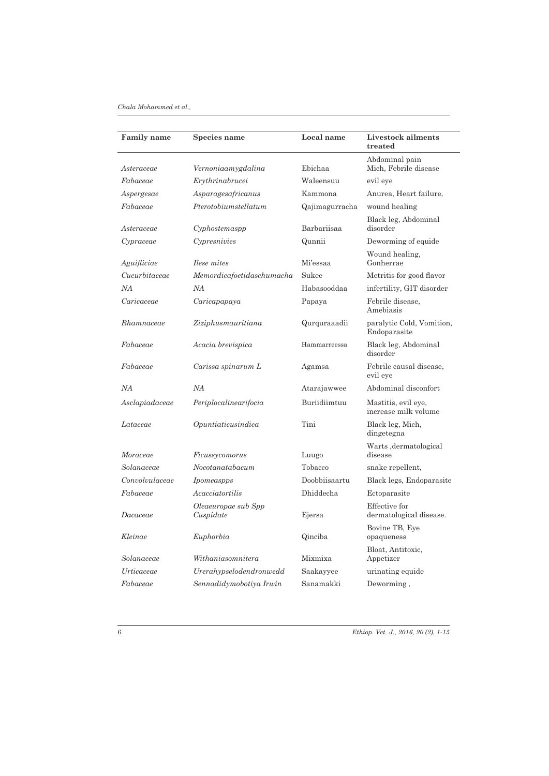#### *Chala Mohammed et al.,*

| Family name    | Species name                     | Local name     | Livestock ailments<br>treated               |
|----------------|----------------------------------|----------------|---------------------------------------------|
| Asteraceae     | Vernoniaamygdalina               | Ebichaa        | Abdominal pain<br>Mich. Febrile disease     |
| Fabaceae       | Erythrinabrucei                  | Waleensuu      | evil eye                                    |
| Aspergesae     | Asparagesafricanus               | Kammona        | Anurea, Heart failure,                      |
| Fabaceae       | Pterotobiumstellatum             | Qajimagurracha | wound healing                               |
| Asteraceae     | Cyphostemaspp                    | Barbariisaa    | Black leg, Abdominal<br>disorder            |
| Cypraceae      | Cypresnivies                     | Qunnii         | Deworming of equide                         |
| Aguifliciae    | <i>Ilese mites</i>               | Mi'essaa       | Wound healing,<br>Gonherrae                 |
| Cucurbitaceae  | Memordicafoetidaschumacha        | Sukee          | Metritis for good flavor                    |
| NA             | ΝA                               | Habasooddaa    | infertility, GIT disorder                   |
| Caricaceae     | Caricapapaya                     | Papaya         | Febrile disease,<br>Amebiasis               |
| Rhamnaceae     | Ziziphusmauritiana               | Qurquraaadii   | paralytic Cold, Vomition,<br>Endoparasite   |
| Fabaceae       | Acacia brevispica                | Hammarreessa   | Black leg, Abdominal<br>disorder            |
| Fabaceae       | Carissa spinarum L               | Agamsa         | Febrile causal disease,<br>evil eye         |
| NA             | NA                               | Atarajawwee    | Abdominal disconfort                        |
| Asclapiadaceae | Periplocalinearifocia            | Buriidiimtuu   | Mastitis, evil eye,<br>increase milk volume |
| Lataceae       | Opuntiaticusindica               | Tini           | Black leg, Mich,<br>dingetegna              |
| Moraceae       | Ficussycomorus                   | Luugo          | Warts, dermatological<br>disease            |
| Solanaceae     | No cotanata bacum                | Tobacco        | snake repellent,                            |
| Convolvulaceae | Ipomeaspps                       | Doobbiisaartu  | Black legs, Endoparasite                    |
| Fabaceae       | Acacciatortilis                  | Dhiddecha      | Ectoparasite                                |
| Dacaceae       | Oleaeuropae sub Spp<br>Cuspidate | Ejersa         | Effective for<br>dermatological disease.    |
| Kleinae        | Euphorbia                        | Qinciba        | Bovine TB, Eye<br>opaqueness                |
| Solanaceae     | Withaniasomnitera                | Mixmixa        | Bloat, Antitoxic,<br>Appetizer              |
| Urticaceae     | Urerahypselodendronwedd          | Saakayyee      | urinating equide                            |
| Fabaceae       | Sennadidymobotiya Irwin          | Sanamakki      | Deworming,                                  |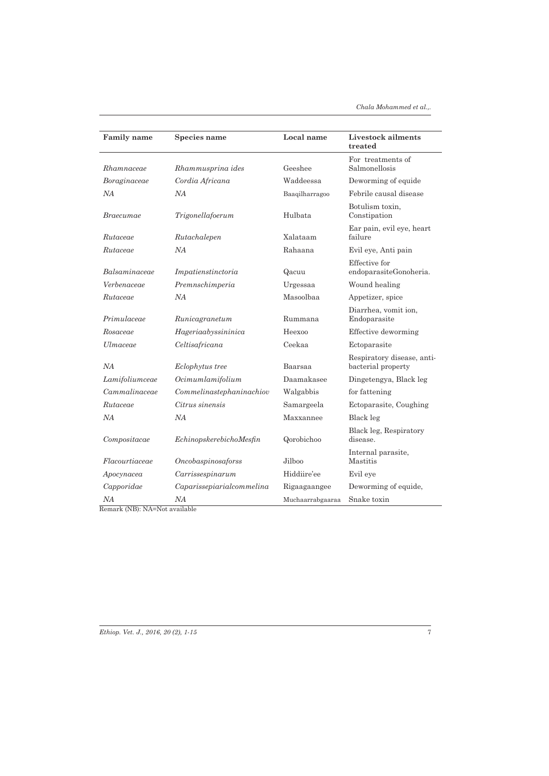| <b>Family name</b> | Species name              | Local name       | Livestock ailments<br>treated                    |
|--------------------|---------------------------|------------------|--------------------------------------------------|
| Rhamnaceae         | Rhammusprina ides         | Geeshee          | For treatments of<br>Salmonellosis               |
| Boraginaceae       | Cordia Africana           | Waddeessa        | Deworming of equide                              |
| NА                 | NА                        | Baaqilharragoo   | Febrile causal disease                           |
| Braecumae          | Trigonellafoerum          | Hulbata          | Botulism toxin,<br>Constipation                  |
| Rutaceae           | Rutachalepen              | Xalataam         | Ear pain, evil eye, heart<br>failure             |
| Rutaceae           | NA                        | Rahaana          | Evil eye, Anti pain                              |
| Balsaminaceae      | Impatienstinctoria        | Qacuu            | Effective for<br>endoparasiteGonoheria.          |
| Verbenaceae        | Premnschimperia           | Urgessaa         | Wound healing                                    |
| Rutaceae           | NА                        | Masoolbaa        | Appetizer, spice                                 |
| Primulaceae        | Runicagranetum            | Rummana          | Diarrhea, vomit ion,<br>Endoparasite             |
| Rosaceae           | Hageriaabyssininica       | Heexoo           | Effective deworming                              |
| Ulmaceae           | Celtisafricana            | Ceekaa           | Ectoparasite                                     |
| NA                 | Eclophytus tree           | Baarsaa          | Respiratory disease, anti-<br>bacterial property |
| Lamifoliumceae     | Ocimumlamifolium          | Daamakasee       | Dingetengya, Black leg                           |
| Cammalinaceae      | Commelinastephaninachiov  | Walgabbis        | for fattening                                    |
| Rutaceae           | Citrus sinensis           | Samargeela       | Ectoparasite, Coughing                           |
| NA                 | NA                        | Maxxannee        | Black leg                                        |
| Compositace        | EchinopskerebichoMesfin   | Qorobichoo       | Black leg, Respiratory<br>disease.               |
| Flacourtiaceae     | Oncobaspinosaforss        | Jilboo           | Internal parasite,<br>Mastitis                   |
| Аросупасеа         | Carrissespinarum          | Hiddiire'ee      | Evil eye                                         |
| Capporidae         | Caparissepiarialcommelina | Rigaagaangee     | Deworming of equide,                             |
| NА                 | NA                        | Muchaarrabgaaraa | Snake toxin                                      |

Remark (NB): NA=Not available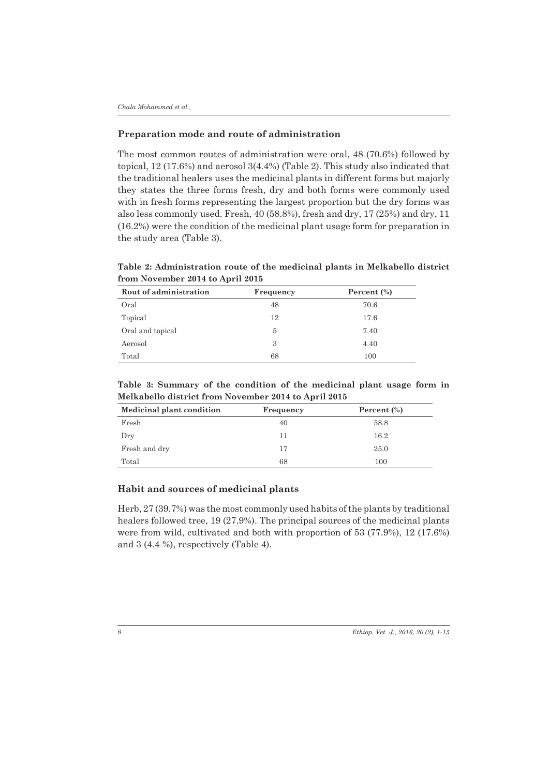#### **Preparation mode and route of administration**

The most common routes of administration were oral, 48 (70.6%) followed by topical, 12 (17.6%) and aerosol 3(4.4%) (Table 2). This study also indicated that the traditional healers uses the medicinal plants in different forms but majorly they states the three forms fresh, dry and both forms were commonly used with in fresh forms representing the largest proportion but the dry forms was also less commonly used. Fresh, 40 (58.8%), fresh and dry, 17 (25%) and dry, 11 (16.2%) were the condition of the medicinal plant usage form for preparation in the study area (Table 3).

**Table 2: Administration route of the medicinal plants in Melkabello district from November 2014 to April 2015** 

| Rout of administration | Frequency | Percent $(\%)$ |
|------------------------|-----------|----------------|
| Oral                   | 48        | 70.6           |
| Topical                | 12        | 17.6           |
| Oral and topical       | 5         | 7.40           |
| Aerosol                | 3         | 4.40           |
| Total                  | 68        | 100            |

**Table 3: Summary of the condition of the medicinal plant usage form in Melkabello district from November 2014 to April 2015** 

| Medicinal plant condition | Frequency | Percent $\left(\frac{9}{6}\right)$ |
|---------------------------|-----------|------------------------------------|
| Fresh                     | 40        | 58.8                               |
| Dry                       | 11        | 16.2                               |
| Fresh and dry             | 17        | 25.0                               |
| Total                     | 68        | 100                                |

## **Habit and sources of medicinal plants**

Herb, 27 (39.7%) was the most commonly used habits of the plants by traditional healers followed tree, 19 (27.9%). The principal sources of the medicinal plants were from wild, cultivated and both with proportion of 53 (77.9%), 12 (17.6%) and 3 (4.4 %), respectively (Table 4).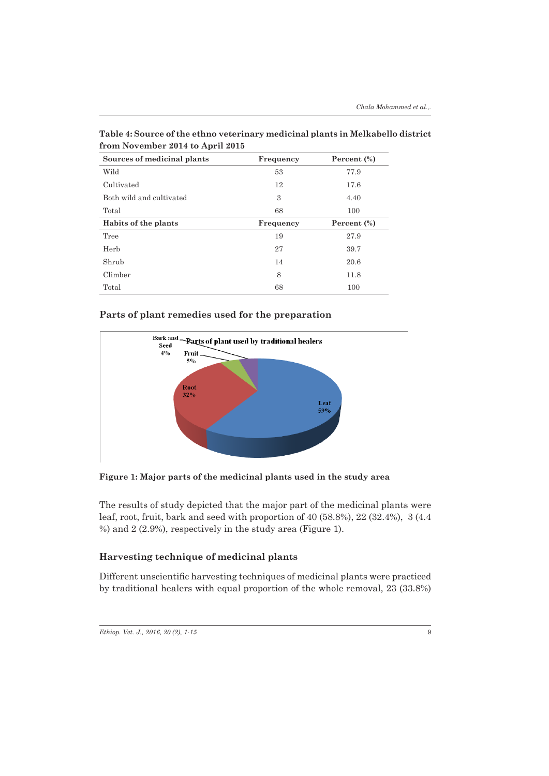| Sources of medicinal plants | Frequency | Percent $(\%)$ |
|-----------------------------|-----------|----------------|
| Wild                        | 53        | 77.9           |
| Cultivated                  | 12        | 17.6           |
| Both wild and cultivated    | 3         | 4.40           |
| Total                       | 68        | 100            |
| Habits of the plants        | Frequency | Percent $(\%)$ |
| Tree                        | 19        | 27.9           |
| Herb                        | 27        | 39.7           |
| Shrub                       | 14        | 20.6           |
| Climber                     | 8         | 11.8           |
| Total                       | 68        | 100            |

**Table 4: Source of the ethno veterinary medicinal plants in Melkabello district from November 2014 to April 2015** 

### **Parts of plant remedies used for the preparation**



**Figure 1: Major parts of the medicinal plants used in the study area**

The results of study depicted that the major part of the medicinal plants were leaf, root, fruit, bark and seed with proportion of 40 (58.8%), 22 (32.4%), 3 (4.4 %) and 2 (2.9%), respectively in the study area (Figure 1).

### **Harvesting technique of medicinal plants**

Different unscientific harvesting techniques of medicinal plants were practiced by traditional healers with equal proportion of the whole removal, 23 (33.8%)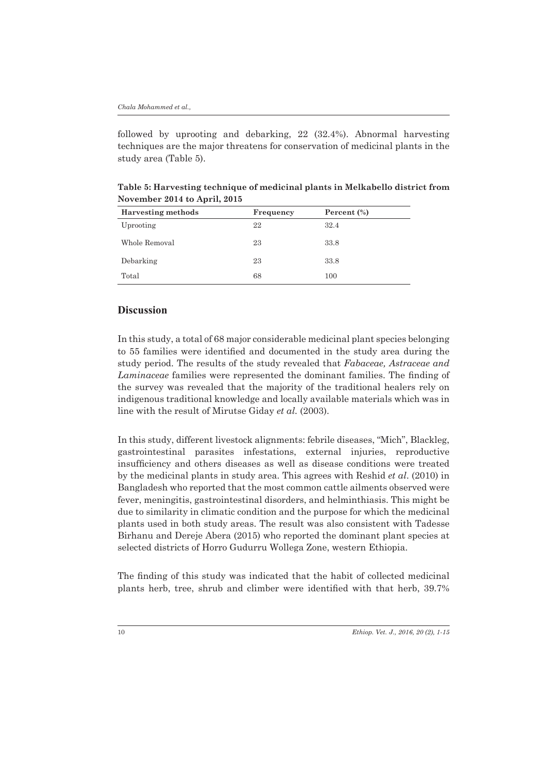followed by uprooting and debarking, 22 (32.4%). Abnormal harvesting techniques are the major threatens for conservation of medicinal plants in the study area (Table 5).

| <b>Harvesting methods</b> | Frequency | Percent $(\%)$ |  |
|---------------------------|-----------|----------------|--|
| Uprooting                 | 22        | 32.4           |  |
| Whole Removal             | 23        | 33.8           |  |
| Debarking                 | 23        | 33.8           |  |
| Total                     | 68        | 100            |  |

**Table 5: Harvesting technique of medicinal plants in Melkabello district from November 2014 to April, 2015** 

## **Discussion**

In this study, a total of 68 major considerable medicinal plant species belonging to 55 families were identified and documented in the study area during the study period. The results of the study revealed that *Fabaceae, Astraceae and Laminaceae* families were represented the dominant families. The finding of the survey was revealed that the majority of the traditional healers rely on indigenous traditional knowledge and locally available materials which was in line with the result of Mirutse Giday *et al.* (2003).

In this study, different livestock alignments: febrile diseases, "Mich", Blackleg, gastrointestinal parasites infestations, external injuries, reproductive insufficiency and others diseases as well as disease conditions were treated by the medicinal plants in study area. This agrees with Reshid *et al*. (2010) in Bangladesh who reported that the most common cattle ailments observed were fever, meningitis, gastrointestinal disorders, and helminthiasis. This might be due to similarity in climatic condition and the purpose for which the medicinal plants used in both study areas. The result was also consistent with Tadesse Birhanu and Dereje Abera (2015) who reported the dominant plant species at selected districts of Horro Gudurru Wollega Zone, western Ethiopia.

The finding of this study was indicated that the habit of collected medicinal plants herb, tree, shrub and climber were identified with that herb, 39.7%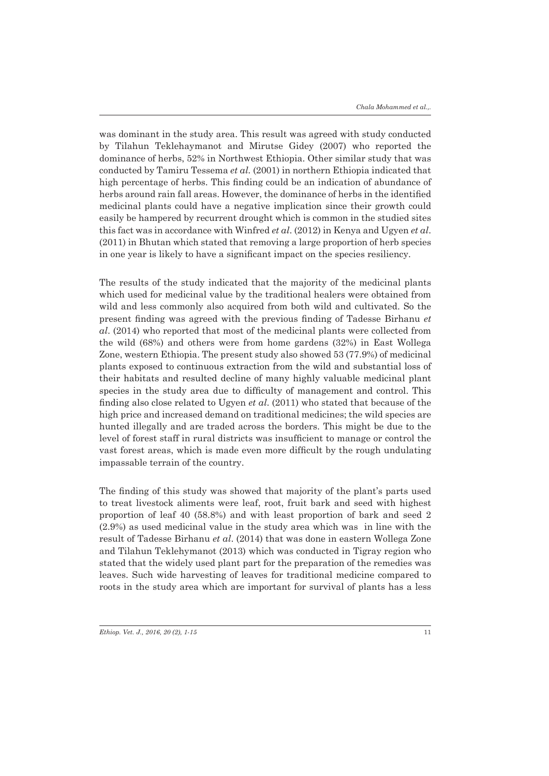was dominant in the study area. This result was agreed with study conducted by Tilahun Teklehaymanot and Mirutse Gidey (2007) who reported the dominance of herbs, 52% in Northwest Ethiopia. Other similar study that was conducted by Tamiru Tessema *et al.* (2001) in northern Ethiopia indicated that high percentage of herbs. This finding could be an indication of abundance of herbs around rain fall areas. However, the dominance of herbs in the identified medicinal plants could have a negative implication since their growth could easily be hampered by recurrent drought which is common in the studied sites this fact was in accordance with Winfred *et al*. (2012) in Kenya and Ugyen *et al*. (2011) in Bhutan which stated that removing a large proportion of herb species in one year is likely to have a significant impact on the species resiliency.

The results of the study indicated that the majority of the medicinal plants which used for medicinal value by the traditional healers were obtained from wild and less commonly also acquired from both wild and cultivated. So the present finding was agreed with the previous finding of Tadesse Birhanu *et al*. (2014) who reported that most of the medicinal plants were collected from the wild (68%) and others were from home gardens (32%) in East Wollega Zone, western Ethiopia. The present study also showed 53 (77.9%) of medicinal plants exposed to continuous extraction from the wild and substantial loss of their habitats and resulted decline of many highly valuable medicinal plant species in the study area due to difficulty of management and control. This finding also close related to Ugyen *et al*. (2011) who stated that because of the high price and increased demand on traditional medicines; the wild species are hunted illegally and are traded across the borders. This might be due to the level of forest staff in rural districts was insufficient to manage or control the vast forest areas, which is made even more difficult by the rough undulating impassable terrain of the country.

The finding of this study was showed that majority of the plant's parts used to treat livestock aliments were leaf, root, fruit bark and seed with highest proportion of leaf 40 (58.8%) and with least proportion of bark and seed 2 (2.9%) as used medicinal value in the study area which was in line with the result of Tadesse Birhanu *et al*. (2014) that was done in eastern Wollega Zone and Tilahun Teklehymanot (2013) which was conducted in Tigray region who stated that the widely used plant part for the preparation of the remedies was leaves. Such wide harvesting of leaves for traditional medicine compared to roots in the study area which are important for survival of plants has a less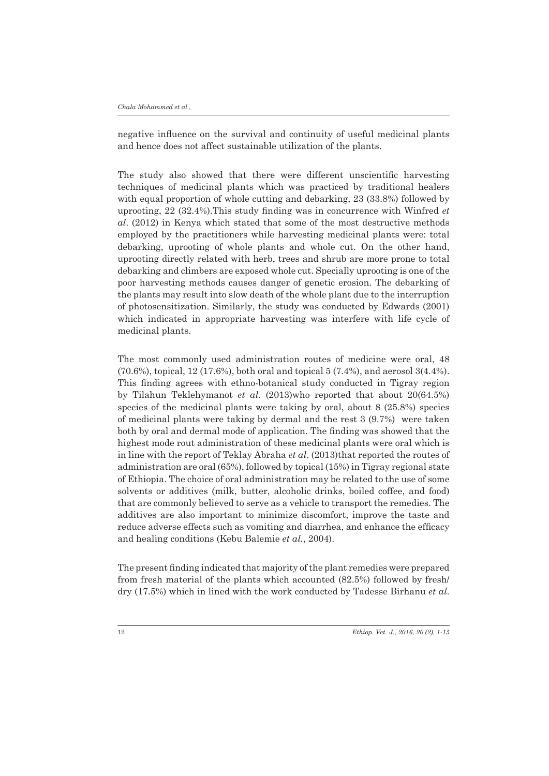negative influence on the survival and continuity of useful medicinal plants and hence does not affect sustainable utilization of the plants.

The study also showed that there were different unscientific harvesting techniques of medicinal plants which was practiced by traditional healers with equal proportion of whole cutting and debarking, 23 (33.8%) followed by uprooting, 22 (32.4%).This study finding was in concurrence with Winfred *et al*. (2012) in Kenya which stated that some of the most destructive methods employed by the practitioners while harvesting medicinal plants were: total debarking, uprooting of whole plants and whole cut. On the other hand, uprooting directly related with herb, trees and shrub are more prone to total debarking and climbers are exposed whole cut. Specially uprooting is one of the poor harvesting methods causes danger of genetic erosion. The debarking of the plants may result into slow death of the whole plant due to the interruption of photosensitization. Similarly, the study was conducted by Edwards (2001) which indicated in appropriate harvesting was interfere with life cycle of medicinal plants.

The most commonly used administration routes of medicine were oral, 48 (70.6%), topical, 12 (17.6%), both oral and topical 5 (7.4%), and aerosol 3(4.4%). This finding agrees with ethno-botanical study conducted in Tigray region by Tilahun Teklehymanot *et al.* (2013)who reported that about 20(64.5%) species of the medicinal plants were taking by oral, about 8 (25.8%) species of medicinal plants were taking by dermal and the rest 3 (9.7%) were taken both by oral and dermal mode of application. The finding was showed that the highest mode rout administration of these medicinal plants were oral which is in line with the report of Teklay Abraha *et al*. (2013)that reported the routes of administration are oral (65%), followed by topical (15%) in Tigray regional state of Ethiopia. The choice of oral administration may be related to the use of some solvents or additives (milk, butter, alcoholic drinks, boiled coffee, and food) that are commonly believed to serve as a vehicle to transport the remedies. The additives are also important to minimize discomfort, improve the taste and reduce adverse effects such as vomiting and diarrhea, and enhance the efficacy and healing conditions (Kebu Balemie *et al.*, 2004).

The present finding indicated that majority of the plant remedies were prepared from fresh material of the plants which accounted (82.5%) followed by fresh/ dry (17.5%) which in lined with the work conducted by Tadesse Birhanu *et al*.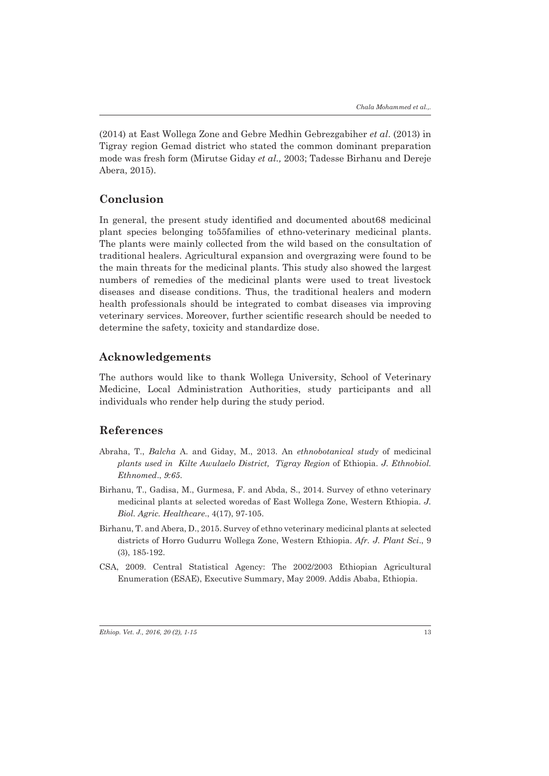(2014) at East Wollega Zone and Gebre Medhin Gebrezgabiher *et al*. (2013) in Tigray region Gemad district who stated the common dominant preparation mode was fresh form (Mirutse Giday *et al.,* 2003; Tadesse Birhanu and Dereje Abera, 2015).

## **Conclusion**

In general, the present study identified and documented about68 medicinal plant species belonging to55families of ethno-veterinary medicinal plants. The plants were mainly collected from the wild based on the consultation of traditional healers. Agricultural expansion and overgrazing were found to be the main threats for the medicinal plants. This study also showed the largest numbers of remedies of the medicinal plants were used to treat livestock diseases and disease conditions. Thus, the traditional healers and modern health professionals should be integrated to combat diseases via improving veterinary services. Moreover, further scientific research should be needed to determine the safety, toxicity and standardize dose.

## **Acknowledgements**

The authors would like to thank Wollega University, School of Veterinary Medicine, Local Administration Authorities, study participants and all individuals who render help during the study period.

### **References**

- Abraha, T., *Balcha* A. and Giday, M., 2013. An *ethnobotanical study* of medicinal *plants used in Kilte Awulaelo District, Tigray Region* of Ethiopia. *J. Ethnobiol. Ethnomed*., *9:65*.
- Birhanu, T., Gadisa, M., Gurmesa, F. and Abda, S., 2014. Survey of ethno veterinary medicinal plants at selected woredas of East Wollega Zone, Western Ethiopia. *J. Biol. Agric. Healthcare*., 4(17), 97-105.
- Birhanu, T. and Abera, D., 2015. Survey of ethno veterinary medicinal plants at selected districts of Horro Gudurru Wollega Zone, Western Ethiopia. *Afr. J. Plant Sci*., 9 (3), 185-192.
- CSA, 2009. Central Statistical Agency: The 2002/2003 Ethiopian Agricultural Enumeration (ESAE), Executive Summary, May 2009. Addis Ababa, Ethiopia.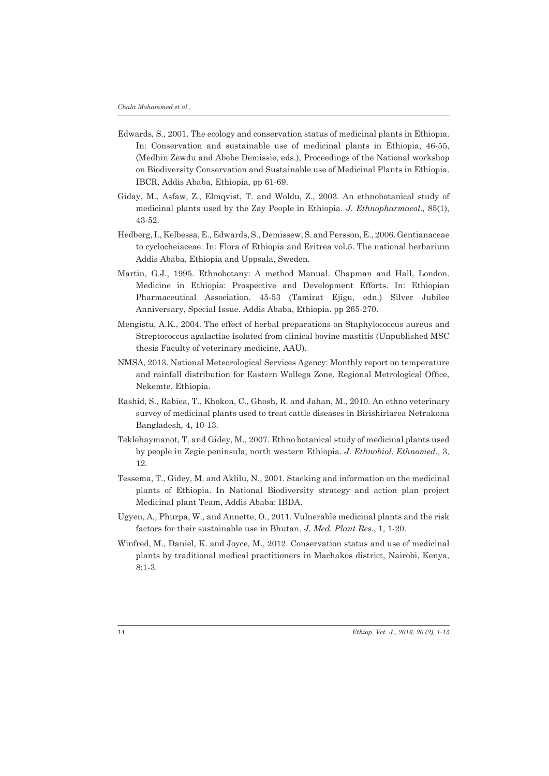- Edwards, S., 2001. The ecology and conservation status of medicinal plants in Ethiopia. In: Conservation and sustainable use of medicinal plants in Ethiopia, 46-55, (Medhin Zewdu and Abebe Demissie, eds.), Proceedings of the National workshop on Biodiversity Conservation and Sustainable use of Medicinal Plants in Ethiopia. IBCR, Addis Ababa, Ethiopia, pp 61-69.
- Giday, M., Asfaw, Z., Elmqvist, T. and Woldu, Z., 2003. An ethnobotanical study of medicinal plants used by the Zay People in Ethiopia. *J. Ethnopharmacol*.*,* 85(1), 43-52.
- Hedberg, I., Kelbessa, E., Edwards, S., Demissew, S. and Persson, E., 2006. Gentianaceae to cyclocheiaceae. In: Flora of Ethiopia and Eritrea vol.5. The national herbarium Addis Ababa, Ethiopia and Uppsala, Sweden.
- Martin, G.J., 1995. Ethnobotany: A method Manual. Chapman and Hall, London. Medicine in Ethiopia: Prospective and Development Efforts. In: Ethiopian Pharmaceutical Association. 45-53 (Tamirat Ejigu, edn.) Silver Jubilee Anniversary, Special Issue. Addis Ababa, Ethiopia. pp 265-270.
- Mengistu, A.K., 2004. The effect of herbal preparations on Staphylococcus aureus and Streptococcus agalactiae isolated from clinical bovine mastitis (Unpublished MSC thesis Faculty of veterinary medicine, AAU).
- NMSA, 2013. National Meteorological Services Agency: Monthly report on temperature and rainfall distribution for Eastern Wollega Zone, Regional Metrological Office, Nekemte, Ethiopia.
- Rashid, S., Rabiea, T., Khokon, C., Ghosh, R. and Jahan, M., 2010. An ethno veterinary survey of medicinal plants used to treat cattle diseases in Birishiriarea Netrakona Bangladesh*,* 4, 10-13.
- Teklehaymanot, T. and Gidey, M., 2007. Ethno botanical study of medicinal plants used by people in Zegie peninsula, north western Ethiopia. *J. Ethnobiol. Ethnomed*., 3, 12.
- Tessema, T., Gidey, M. and Aklilu, N., 2001. Stacking and information on the medicinal plants of Ethiopia. In National Biodiversity strategy and action plan project Medicinal plant Team, Addis Ababa: IBDA.
- Ugyen, A*.,* Phurpa, W*.,* and Annette, O., 2011. Vulnerable medicinal plants and the risk factors for their sustainable use in Bhutan. *J. Med. Plant Res*., 1, 1-20.
- Winfred, M., Daniel, K. and Joyce, M., 2012. Conservation status and use of medicinal plants by traditional medical practitioners in Machakos district, Nairobi, Kenya, 8:1-3.